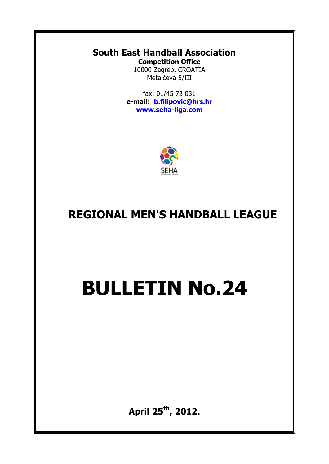#### **South East Handball Association Competition Office**

10000 Zagreb, CROATIA Metalčeva 5/III

fax: 01/45 73 031 **e-mail: [b.filipovic@hrs.hr](mailto:b.filipovic@hrs.hr) [www.seha-liga.com](http://www.seha-liga.com/)**



## **REGIONAL MEN'S HANDBALL LEAGUE**

# **BULLETIN No.24**

**April 25th , 2012.**